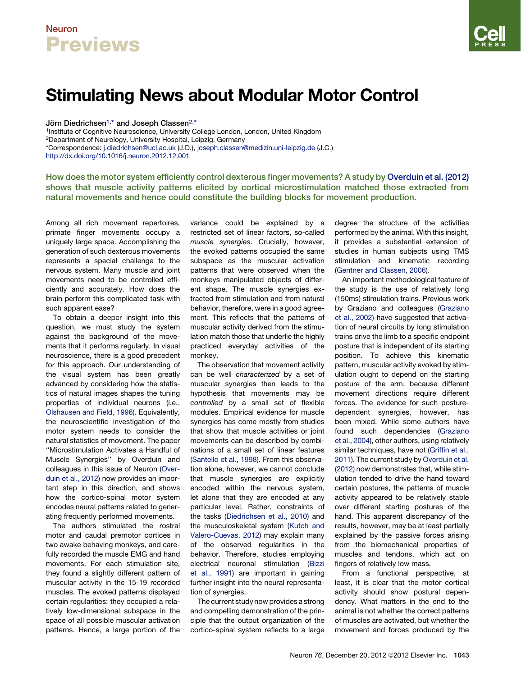## Neuron **Previews**

# Stimulating News about Modular Motor Control

Jörn Diedrichsen<sup>1,\*</sup> and Joseph Classen<sup>2,\*</sup>

1Institute of Cognitive Neuroscience, University College London, London, United Kingdom 2Department of Neurology, University Hospital, Leipzig, Germany \*Correspondence: [j.diedrichsen@ucl.ac.uk](mailto:j.diedrichsen@ucl.ac.uk) (J.D.), [joseph.classen@medizin.uni-leipzig.de](mailto:joseph.classen@medizin.uni-leipzig.de) (J.C.) <http://dx.doi.org/10.1016/j.neuron.2012.12.001>

How does the motor system efficiently control dexterous finger movements? A study by [Overduin et al. \(2012\)](#page-2-0) shows that muscle activity patterns elicited by cortical microstimulation matched those extracted from natural movements and hence could constitute the building blocks for movement production.

Among all rich movement repertoires, primate finger movements occupy a uniquely large space. Accomplishing the generation of such dexterous movements represents a special challenge to the nervous system. Many muscle and joint movements need to be controlled efficiently and accurately. How does the brain perform this complicated task with such apparent ease?

To obtain a deeper insight into this question, we must study the system against the background of the movements that it performs regularly. In visual neuroscience, there is a good precedent for this approach. Our understanding of the visual system has been greatly advanced by considering how the statistics of natural images shapes the tuning properties of individual neurons (i.e., [Olshausen and Field, 1996\)](#page-2-0). Equivalently, the neuroscientific investigation of the motor system needs to consider the natural statistics of movement. The paper ''Microstimulation Activates a Handful of Muscle Synergies'' by Overduin and colleagues in this issue of Neuron [\(Over](#page-2-0)[duin et al., 2012\)](#page-2-0) now provides an important step in this direction, and shows how the cortico-spinal motor system encodes neural patterns related to generating frequently performed movements.

The authors stimulated the rostral motor and caudal premotor cortices in two awake behaving monkeys, and carefully recorded the muscle EMG and hand movements. For each stimulation site, they found a slightly different pattern of muscular activity in the 15-19 recorded muscles. The evoked patterns displayed certain regularities: they occupied a relatively low-dimensional subspace in the space of all possible muscular activation patterns. Hence, a large portion of the

variance could be explained by a restricted set of linear factors, so-called *muscle synergies*. Crucially, however, the evoked patterns occupied the same subspace as the muscular activation patterns that were observed when the monkeys manipulated objects of different shape. The muscle synergies extracted from stimulation and from natural behavior, therefore, were in a good agreement. This reflects that the patterns of muscular activity derived from the stimulation match those that underlie the highly practiced everyday activities of the monkey.

The observation that movement activity can be well *characterized* by a set of muscular synergies then leads to the hypothesis that movements may be *controlled* by a small set of flexible modules. Empirical evidence for muscle synergies has come mostly from studies that show that muscle activities or joint movements can be described by combinations of a small set of linear features ([Santello et al., 1998](#page-2-0)). From this observation alone, however, we cannot conclude that muscle synergies are explicitly encoded within the nervous system, let alone that they are encoded at any particular level. Rather, constraints of the tasks [\(Diedrichsen et al., 2010\)](#page-2-0) and the musculoskeletal system [\(Kutch and](#page-2-0) [Valero-Cuevas, 2012](#page-2-0)) may explain many of the observed regularities in the behavior. Therefore, studies employing electrical neuronal stimulation [\(Bizzi](#page-2-0) [et al., 1991\)](#page-2-0) are important in gaining further insight into the neural representation of synergies.

The current study now provides a strong and compelling demonstration of the principle that the output organization of the cortico-spinal system reflects to a large

degree the structure of the activities performed by the animal. With this insight, it provides a substantial extension of studies in human subjects using TMS stimulation and kinematic recording [\(Gentner and Classen, 2006](#page-2-0)).

An important methodological feature of the study is the use of relatively long (150ms) stimulation trains. Previous work by Graziano and colleagues [\(Graziano](#page-2-0) [et al., 2002\)](#page-2-0) have suggested that activation of neural circuits by long stimulation trains drive the limb to a specific endpoint posture that is independent of its starting position. To achieve this kinematic pattern, muscular activity evoked by stimulation ought to depend on the starting posture of the arm, because different movement directions require different forces. The evidence for such posturedependent synergies, however, has been mixed. While some authors have found such dependencies [\(Graziano](#page-2-0) [et al., 2004](#page-2-0)), other authors, using relatively similar techniques, have not ([Griffin et al.,](#page-2-0) [2011\)](#page-2-0). The current study by [Overduin et al.](#page-2-0) [\(2012\)](#page-2-0) now demonstrates that, while stimulation tended to drive the hand toward certain postures, the patterns of muscle activity appeared to be relatively stable over different starting postures of the hand. This apparent discrepancy of the results, however, may be at least partially explained by the passive forces arising from the biomechanical properties of muscles and tendons, which act on fingers of relatively low mass.

From a functional perspective, at least, it is clear that the motor cortical activity should show postural dependency. What matters in the end to the animal is not whether the correct patterns of muscles are activated, but whether the movement and forces produced by the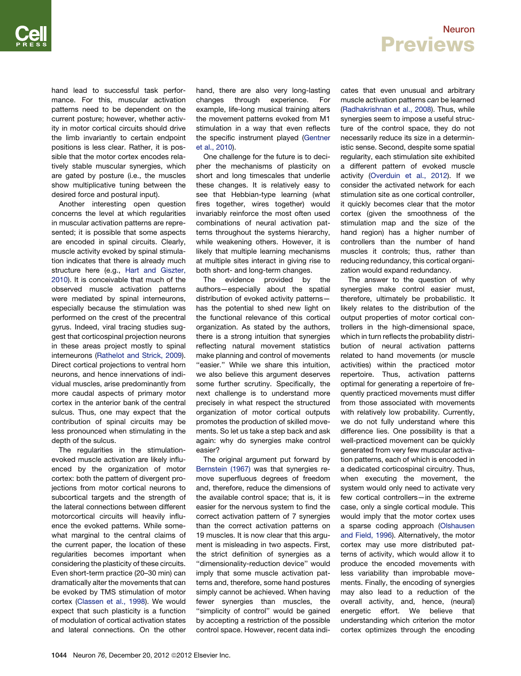#### Neuron **Previews**

hand lead to successful task performance. For this, muscular activation patterns need to be dependent on the current posture; however, whether activity in motor cortical circuits should drive the limb invariantly to certain endpoint positions is less clear. Rather, it is possible that the motor cortex encodes relatively stable muscular synergies, which are gated by posture (i.e., the muscles show multiplicative tuning between the desired force and postural input).

Another interesting open question concerns the level at which regularities in muscular activation patterns are represented; it is possible that some aspects are encoded in spinal circuits. Clearly, muscle activity evoked by spinal stimulation indicates that there is already much structure here (e.g., [Hart and Giszter,](#page-2-0) [2010](#page-2-0)). It is conceivable that much of the observed muscle activation patterns were mediated by spinal interneurons, especially because the stimulation was performed on the crest of the precentral gyrus. Indeed, viral tracing studies suggest that corticospinal projection neurons in these areas project mostly to spinal interneurons [\(Rathelot and Strick, 2009\)](#page-2-0). Direct cortical projections to ventral horn neurons, and hence innervations of individual muscles, arise predominantly from more caudal aspects of primary motor cortex in the anterior bank of the central sulcus. Thus, one may expect that the contribution of spinal circuits may be less pronounced when stimulating in the depth of the sulcus.

The regularities in the stimulationevoked muscle activation are likely influenced by the organization of motor cortex: both the pattern of divergent projections from motor cortical neurons to subcortical targets and the strength of the lateral connections between different motorcortical circuits will heavily influence the evoked patterns. While somewhat marginal to the central claims of the current paper, the location of these regularities becomes important when considering the plasticity of these circuits. Even short-term practice (20–30 min) can dramatically alter the movements that can be evoked by TMS stimulation of motor cortex ([Classen et al., 1998\)](#page-2-0). We would expect that such plasticity is a function of modulation of cortical activation states and lateral connections. On the other hand, there are also very long-lasting changes through experience. For example, life-long musical training alters the movement patterns evoked from M1 stimulation in a way that even reflects the specific instrument played [\(Gentner](#page-2-0) [et al., 2010](#page-2-0)).

One challenge for the future is to decipher the mechanisms of plasticity on short and long timescales that underlie these changes. It is relatively easy to see that Hebbian-type learning (what fires together, wires together) would invariably reinforce the most often used combinations of neural activation patterns throughout the systems hierarchy, while weakening others. However, it is likely that multiple learning mechanisms at multiple sites interact in giving rise to both short- and long-term changes.

The evidence provided by the authors—especially about the spatial distribution of evoked activity patterns has the potential to shed new light on the functional relevance of this cortical organization. As stated by the authors, there is a strong intuition that synergies reflecting natural movement statistics make planning and control of movements "easier." While we share this intuition, we also believe this argument deserves some further scrutiny. Specifically, the next challenge is to understand more precisely in what respect the structured organization of motor cortical outputs promotes the production of skilled movements. So let us take a step back and ask again: why do synergies make control easier?

The original argument put forward by [Bernstein \(1967\)](#page-2-0) was that synergies remove superfluous degrees of freedom and, therefore, reduce the dimensions of the available control space; that is, it is easier for the nervous system to find the correct activation pattern of 7 synergies than the correct activation patterns on 19 muscles. It is now clear that this argument is misleading in two aspects. First, the strict definition of synergies as a ''dimensionality-reduction device'' would imply that some muscle activation patterns and, therefore, some hand postures simply cannot be achieved. When having fewer synergies than muscles, the ''simplicity of control'' would be gained by accepting a restriction of the possible control space. However, recent data indicates that even unusual and arbitrary muscle activation patterns *can* be learned ([Radhakrishnan et al., 2008](#page-2-0)). Thus, while synergies seem to impose a useful structure of the control space, they do not necessarily reduce its size in a deterministic sense. Second, despite some spatial regularity, each stimulation site exhibited a different pattern of evoked muscle activity [\(Overduin et al., 2012](#page-2-0)). If we consider the activated network for each stimulation site as one cortical controller, it quickly becomes clear that the motor cortex (given the smoothness of the stimulation map and the size of the hand region) has a higher number of controllers than the number of hand muscles it controls; thus, rather than reducing redundancy, this cortical organization would expand redundancy.

The answer to the question of why synergies make control easier must, therefore, ultimately be probabilistic. It likely relates to the distribution of the output properties of motor cortical controllers in the high-dimensional space, which in turn reflects the probability distribution of neural activation patterns related to hand movements (or muscle activities) within the practiced motor repertoire. Thus, activation patterns optimal for generating a repertoire of frequently practiced movements must differ from those associated with movements with relatively low probability. Currently, we do not fully understand where this difference lies. One possibility is that a well-practiced movement can be quickly generated from very few muscular activation patterns, each of which is encoded in a dedicated corticospinal circuitry. Thus, when executing the movement, the system would only need to activate very few cortical controllers—in the extreme case, only a single cortical module. This would imply that the motor cortex uses a sparse coding approach ([Olshausen](#page-2-0) [and Field, 1996\)](#page-2-0). Alternatively, the motor cortex may use more distributed patterns of activity, which would allow it to produce the encoded movements with less variability than improbable movements. Finally, the encoding of synergies may also lead to a reduction of the overall activity, and, hence, (neural) energetic effort. We believe that understanding which criterion the motor cortex optimizes through the encoding